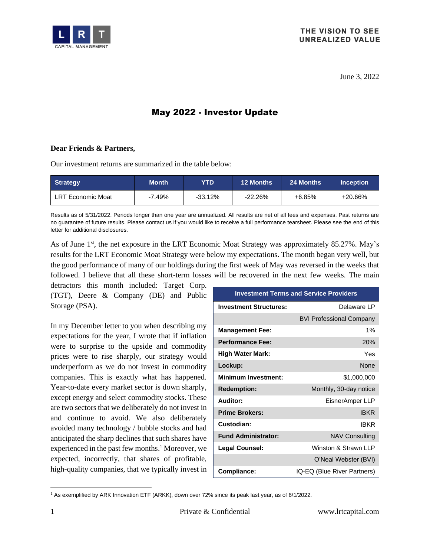

June 3, 2022

# May 2022 - Investor Update

#### **Dear Friends & Partners,**

Our investment returns are summarized in the table below:

| <b>Strategy</b>          | <b>Month</b> | YTD       | <b>12 Months</b> | ⊦24 Months' | <b>Inception</b> |
|--------------------------|--------------|-----------|------------------|-------------|------------------|
| <b>LRT Economic Moat</b> | $-7.49%$     | $-33.12%$ | $-22.26%$        | $+6.85%$    | +20.66%          |

Results as of 5/31/2022. Periods longer than one year are annualized. All results are net of all fees and expenses. Past returns are no guarantee of future results. Please contact us if you would like to receive a full performance tearsheet. Please see the end of this letter for additional disclosures.

As of June 1<sup>st</sup>, the net exposure in the LRT Economic Moat Strategy was approximately 85.27%. May's results for the LRT Economic Moat Strategy were below my expectations. The month began very well, but the good performance of many of our holdings during the first week of May was reversed in the weeks that followed. I believe that all these short-term losses will be recovered in the next few weeks. The main

detractors this month included: Target Corp. (TGT), Deere & Company (DE) and Public Storage (PSA).

In my December letter to you when describing my expectations for the year, I wrote that if inflation were to surprise to the upside and commodity prices were to rise sharply, our strategy would underperform as we do not invest in commodity companies. This is exactly what has happened. Year-to-date every market sector is down sharply, except energy and select commodity stocks. These are two sectors that we deliberately do not invest in and continue to avoid. We also deliberately avoided many technology / bubble stocks and had anticipated the sharp declines that such shares have experienced in the past few months. <sup>1</sup> Moreover, we expected, incorrectly, that shares of profitable, high-quality companies, that we typically invest in

| <b>Investment Terms and Service Providers</b> |                                 |  |  |  |  |  |  |  |  |  |
|-----------------------------------------------|---------------------------------|--|--|--|--|--|--|--|--|--|
| <b>Investment Structures:</b>                 | Delaware LP                     |  |  |  |  |  |  |  |  |  |
|                                               | <b>BVI Professional Company</b> |  |  |  |  |  |  |  |  |  |
| <b>Management Fee:</b>                        | 1%                              |  |  |  |  |  |  |  |  |  |
| <b>Performance Fee:</b>                       | 20%                             |  |  |  |  |  |  |  |  |  |
| High Water Mark:                              | Yes                             |  |  |  |  |  |  |  |  |  |
| Lockup:                                       | <b>None</b>                     |  |  |  |  |  |  |  |  |  |
| Minimum Investment:                           | \$1,000,000                     |  |  |  |  |  |  |  |  |  |
| <b>Redemption:</b>                            | Monthly, 30-day notice          |  |  |  |  |  |  |  |  |  |
| Auditor:                                      | EisnerAmper LLP                 |  |  |  |  |  |  |  |  |  |
| <b>Prime Brokers:</b>                         | <b>IBKR</b>                     |  |  |  |  |  |  |  |  |  |
| Custodian:                                    | <b>IRKR</b>                     |  |  |  |  |  |  |  |  |  |
| <b>Fund Administrator:</b>                    | <b>NAV Consulting</b>           |  |  |  |  |  |  |  |  |  |
| Legal Counsel:                                | Winston & Strawn LLP            |  |  |  |  |  |  |  |  |  |
|                                               | O'Neal Webster (BVI)            |  |  |  |  |  |  |  |  |  |
| Compliance:                                   | IQ-EQ (Blue River Partners)     |  |  |  |  |  |  |  |  |  |

<sup>1</sup> As exemplified by ARK Innovation ETF (ARKK), down over 72% since its peak last year, as of 6/1/2022.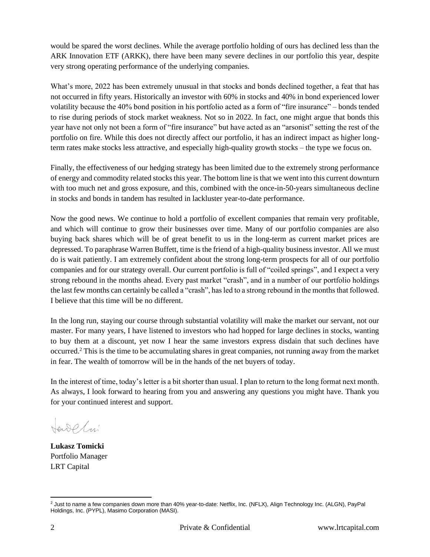would be spared the worst declines. While the average portfolio holding of ours has declined less than the ARK Innovation ETF (ARKK), there have been many severe declines in our portfolio this year, despite very strong operating performance of the underlying companies.

What's more, 2022 has been extremely unusual in that stocks and bonds declined together, a feat that has not occurred in fifty years. Historically an investor with 60% in stocks and 40% in bond experienced lower volatility because the 40% bond position in his portfolio acted as a form of "fire insurance" – bonds tended to rise during periods of stock market weakness. Not so in 2022. In fact, one might argue that bonds this year have not only not been a form of "fire insurance" but have acted as an "arsonist" setting the rest of the portfolio on fire. While this does not directly affect our portfolio, it has an indirect impact as higher longterm rates make stocks less attractive, and especially high-quality growth stocks – the type we focus on.

Finally, the effectiveness of our hedging strategy has been limited due to the extremely strong performance of energy and commodity related stocks this year. The bottom line is that we went into this current downturn with too much net and gross exposure, and this, combined with the once-in-50-years simultaneous decline in stocks and bonds in tandem has resulted in lackluster year-to-date performance.

Now the good news. We continue to hold a portfolio of excellent companies that remain very profitable, and which will continue to grow their businesses over time. Many of our portfolio companies are also buying back shares which will be of great benefit to us in the long-term as current market prices are depressed. To paraphrase Warren Buffett, time is the friend of a high-quality business investor. All we must do is wait patiently. I am extremely confident about the strong long-term prospects for all of our portfolio companies and for our strategy overall. Our current portfolio is full of "coiled springs", and I expect a very strong rebound in the months ahead. Every past market "crash", and in a number of our portfolio holdings the last few months can certainly be called a "crash", has led to a strong rebound in the months that followed. I believe that this time will be no different.

In the long run, staying our course through substantial volatility will make the market our servant, not our master. For many years, I have listened to investors who had hopped for large declines in stocks, wanting to buy them at a discount, yet now I hear the same investors express disdain that such declines have occurred.<sup>2</sup> This is the time to be accumulating shares in great companies, not running away from the market in fear. The wealth of tomorrow will be in the hands of the net buyers of today.

In the interest of time, today's letter is a bit shorter than usual. I plan to return to the long format next month. As always, I look forward to hearing from you and answering any questions you might have. Thank you for your continued interest and support.

teroplui

**Lukasz Tomicki** Portfolio Manager LRT Capital

<sup>2</sup> Just to name a few companies down more than 40% year-to-date: Netflix, Inc. (NFLX), Align Technology Inc. (ALGN), PayPal Holdings, Inc. (PYPL), Masimo Corporation (MASI).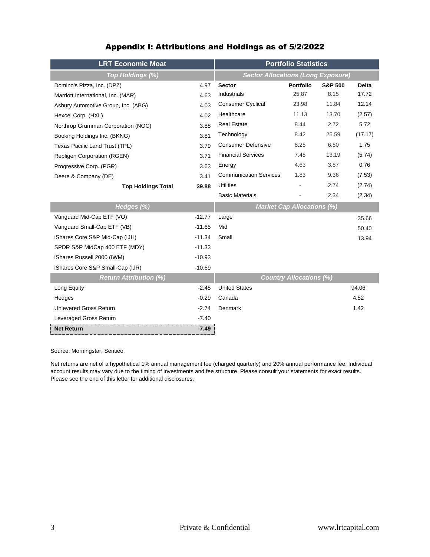| Appendix I: Attributions and Holdings as of 5/2/2022 |  |  |  |  |
|------------------------------------------------------|--|--|--|--|
|------------------------------------------------------|--|--|--|--|

| <b>LRT Economic Moat</b>            | <b>Portfolio Statistics</b>               |                                   |                  |                    |              |  |  |  |  |  |  |  |
|-------------------------------------|-------------------------------------------|-----------------------------------|------------------|--------------------|--------------|--|--|--|--|--|--|--|
| Top Holdings (%)                    | <b>Sector Allocations (Long Exposure)</b> |                                   |                  |                    |              |  |  |  |  |  |  |  |
| Domino's Pizza, Inc. (DPZ)          | 4.97                                      | <b>Sector</b>                     | <b>Portfolio</b> | <b>S&amp;P 500</b> | <b>Delta</b> |  |  |  |  |  |  |  |
| Marriott International, Inc. (MAR)  | 4.63                                      | <b>Industrials</b>                | 25.87            | 8.15               | 17.72        |  |  |  |  |  |  |  |
| Asbury Automotive Group, Inc. (ABG) | 4.03                                      | <b>Consumer Cyclical</b>          | 23.98            | 11.84              | 12.14        |  |  |  |  |  |  |  |
| Hexcel Corp. (HXL)                  | 4.02                                      | Healthcare                        | 11.13            | 13.70              | (2.57)       |  |  |  |  |  |  |  |
| Northrop Grumman Corporation (NOC)  | 3.88                                      | <b>Real Estate</b>                | 8.44             | 2.72               | 5.72         |  |  |  |  |  |  |  |
| Booking Holdings Inc. (BKNG)        | 3.81                                      | Technology                        | 8.42             | 25.59              | (17.17)      |  |  |  |  |  |  |  |
| Texas Pacific Land Trust (TPL)      | 3.79                                      | <b>Consumer Defensive</b>         | 8.25             | 6.50               | 1.75         |  |  |  |  |  |  |  |
| <b>Repligen Corporation (RGEN)</b>  | 3.71                                      | <b>Financial Services</b>         | 7.45             | 13.19              | (5.74)       |  |  |  |  |  |  |  |
| Progressive Corp. (PGR)             | 3.63                                      | Energy                            | 4.63             | 3.87               | 0.76         |  |  |  |  |  |  |  |
| Deere & Company (DE)                | 3.41                                      | <b>Communication Services</b>     | 1.83             | 9.36               | (7.53)       |  |  |  |  |  |  |  |
| <b>Top Holdings Total</b>           | 39.88                                     | <b>Utilities</b>                  |                  | 2.74               | (2.74)       |  |  |  |  |  |  |  |
|                                     |                                           | <b>Basic Materials</b>            |                  | 2.34               | (2.34)       |  |  |  |  |  |  |  |
| Hedges (%)                          |                                           | <b>Market Cap Allocations (%)</b> |                  |                    |              |  |  |  |  |  |  |  |
| Vanguard Mid-Cap ETF (VO)           | $-12.77$                                  | Large                             |                  |                    | 35.66        |  |  |  |  |  |  |  |
| Vanguard Small-Cap ETF (VB)         | $-11.65$                                  | Mid                               |                  |                    | 50.40        |  |  |  |  |  |  |  |
| iShares Core S&P Mid-Cap (IJH)      | $-11.34$                                  | Small                             |                  |                    | 13.94        |  |  |  |  |  |  |  |
| SPDR S&P MidCap 400 ETF (MDY)       | $-11.33$                                  |                                   |                  |                    |              |  |  |  |  |  |  |  |
| iShares Russell 2000 (IWM)          | $-10.93$                                  |                                   |                  |                    |              |  |  |  |  |  |  |  |
| iShares Core S&P Small-Cap (IJR)    | $-10.69$                                  |                                   |                  |                    |              |  |  |  |  |  |  |  |
| <b>Return Attribution (%)</b>       |                                           | <b>Country Allocations (%)</b>    |                  |                    |              |  |  |  |  |  |  |  |
| Long Equity                         | $-2.45$                                   | <b>United States</b>              |                  |                    | 94.06        |  |  |  |  |  |  |  |
| Hedges                              | $-0.29$                                   | Canada                            |                  |                    | 4.52         |  |  |  |  |  |  |  |
| <b>Unlevered Gross Return</b>       | $-2.74$                                   | <b>Denmark</b>                    |                  |                    | 1.42         |  |  |  |  |  |  |  |
| Leveraged Gross Return              | $-7.40$                                   |                                   |                  |                    |              |  |  |  |  |  |  |  |
| <b>Net Return</b>                   | $-7.49$                                   |                                   |                  |                    |              |  |  |  |  |  |  |  |

Source: Morningstar, Sentieo.

Net returns are net of a hypothetical 1% annual management fee (charged quarterly) and 20% annual performance fee. Individual account results may vary due to the timing of investments and fee structure. Please consult your statements for exact results. Please see the end of this letter for additional disclosures.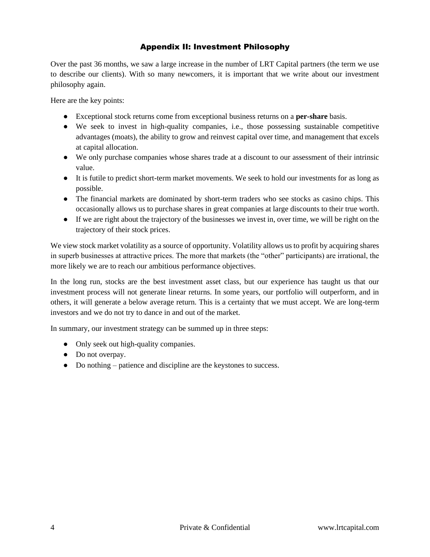## Appendix II: Investment Philosophy

Over the past 36 months, we saw a large increase in the number of LRT Capital partners (the term we use to describe our clients). With so many newcomers, it is important that we write about our investment philosophy again.

Here are the key points:

- Exceptional stock returns come from exceptional business returns on a **per-share** basis.
- We seek to invest in high-quality companies, i.e., those possessing sustainable competitive advantages (moats), the ability to grow and reinvest capital over time, and management that excels at capital allocation.
- We only purchase companies whose shares trade at a discount to our assessment of their intrinsic value.
- It is futile to predict short-term market movements. We seek to hold our investments for as long as possible.
- The financial markets are dominated by short-term traders who see stocks as casino chips. This occasionally allows us to purchase shares in great companies at large discounts to their true worth.
- If we are right about the trajectory of the businesses we invest in, over time, we will be right on the trajectory of their stock prices.

We view stock market volatility as a source of opportunity. Volatility allows us to profit by acquiring shares in superb businesses at attractive prices. The more that markets (the "other" participants) are irrational, the more likely we are to reach our ambitious performance objectives.

In the long run, stocks are the best investment asset class, but our experience has taught us that our investment process will not generate linear returns. In some years, our portfolio will outperform, and in others, it will generate a below average return. This is a certainty that we must accept. We are long-term investors and we do not try to dance in and out of the market.

In summary, our investment strategy can be summed up in three steps:

- Only seek out high-quality companies.
- Do not overpay.
- Do nothing patience and discipline are the keystones to success.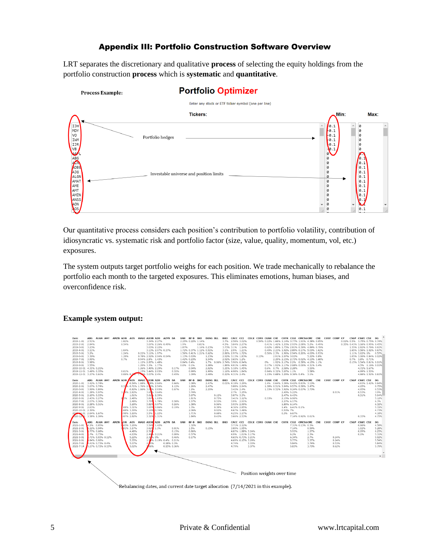# Appendix III: Portfolio Construction Software Overview

LRT separates the discretionary and qualitative **process** of selecting the equity holdings from the portfolio construction **process** which is **systematic** and **quantitative**.

**Portfolio Optimizer** 

## Enter any stock or ETF ticker symbol (one per line) Tickers:  $Max:$ Min: **IJF** MD<sup>\</sup> NDT<br>VO<br>IWM<br>IJR<br>VB Portfolio hedges ABG<br>ADBE<br>ADBE<br>ADG<br>ALGN<br>AMAT<br>AME<br>AMT<br>AME<br>AMS<br>ANS<br>AON<br>AON 000 Investable universe and position limits 00000

Our quantitative process considers each position's contribution to portfolio volatility, contribution of idiosyncratic vs. systematic risk and portfolio factor (size, value, quality, momentum, vol, etc.) exposures.

The system outputs target portfolio weighs for each position. We trade mechanically to rebalance the portfolio each month to the targeted exposures. This eliminates emotions, human biases, and overconfidence risk.

### **Example system output:**

Process Example:

| Date             | ALGN AMT<br>ABG        | AMZN AON AOS |            | AVGO AXON AZO AZPN BA         |              |                        |           | BAH BF-B BKI    |                         | <b>BKNG BLL</b>         |       | <b>BRO</b> |                  |                              |                            |       |                        |          |                   | CACC CCI CDLX CDNS CGNX CHE CHTR CIGI CMCSACME CNI COST COUP CP |            |            |              |  | CSGP CSWI CSX DG              |                |
|------------------|------------------------|--------------|------------|-------------------------------|--------------|------------------------|-----------|-----------------|-------------------------|-------------------------|-------|------------|------------------|------------------------------|----------------------------|-------|------------------------|----------|-------------------|-----------------------------------------------------------------|------------|------------|--------------|--|-------------------------------|----------------|
| 2019-1-01 2.51%  |                        | 1.82%        |            |                               | 3.34% 2.27%  |                        |           |                 | 2.25% 0.22% 1.14%       |                         |       |            |                  | 3.7% 2.58% 3.02%             |                            |       |                        |          |                   | 0.54% 0.22% 1.66% 1.14% 3.77% 1.91% 4.38% 0.05%                 |            |            |              |  | 0.02% 0.5% 3.75% 0.75% 0.74%  |                |
| 2019-2-01 2.84%  |                        | 0.54%        |            |                               |              | 3.07% 2.26% 0.49%      | 1.9%      |                 | 0.81%                   |                         |       |            |                  | 4.5% 3.04% 2.27%             |                            |       |                        |          |                   | 0.41% 1.42% 1.33% 2.93% 2.08% 5.2% 0.49%                        |            |            |              |  | 0.35% 0.43% 3.16% 0.95% 0.45% |                |
| 2019-3-01 3.23%  |                        |              |            |                               | 3.03% 2.22%  |                        | 1.87%     |                 |                         | 1.14% 0.23%             |       |            |                  | 3.73% 3.1% 1.14%             |                            |       |                        |          |                   | 0.62% 1.89% 1.75% 2.81% 0.39% 4.89% 0.79%                       |            |            |              |  | 1.55% 2.82% 0.76% 0.61%       |                |
| 2019-4-01 3.11%  |                        | 1.04%        |            |                               |              | 3.13% 2.07% 0.37%      |           |                 |                         | 1.72% 0.37% 1.12% 0.51% |       |            |                  | 3.1% 2.9% 1.21%              |                            |       |                        |          |                   | 0.49% 2.23% 1.92% 2.89% 0.17% 5.03% 1.62%                       |            |            |              |  | 1.65% 3.56% 1.02% 0.67%       |                |
| 2019-5-01 3.2%   |                        | 1.24%        |            | 0.22% 3.11% 1.97%             |              |                        |           |                 | 1.56% 0.41% 1.21% 0.62% |                         |       |            |                  | 2.86% 2.97% 1.72%            |                            |       |                        |          |                   | 0.56% 2.3% 1.96% 2.94% 0.26% 4.63% 0.93%                        |            |            |              |  | 1.11% 3.62% 1%                | 0.57%          |
| 2019-6-01 3.39%  |                        | 1.28%        |            | 0.78% 2.92% 2.04% 0.04%       |              |                        |           | 1.13% 0.63%     |                         | 1.23%                   |       |            |                  | 2.92% 3.13% 1.83%            |                            | 0.13% |                        |          | 2.91% 2.07% 3.02% |                                                                 | 5.22% 0.8% |            |              |  | 1.05% 3.06% 0.84% 0.02%       |                |
| 2019-7-01 3.99%  |                        | 0.7%         |            | 0.94% 2.8% 1.43%              |              |                        |           | 1.42% 0.23%     |                         | 1.54%                   |       |            | 2.92% 3.65% 1.2% |                              |                            |       |                        |          |                   | 2.29% 2.15% 2.73% 0.02% 4.13% 1.68%                             |            |            |              |  | 0.7% 3.8% 0.71%               |                |
| 2019-8-01 3.98%  |                        |              |            | 1.12% 2.87% 1.48%             |              |                        |           | 0.84% 0.4%      |                         |                         |       |            |                  | 1.7% 0.06% 2.74% 3.96% 0.94% |                            |       |                        |          |                   | 0% 1.92% 2.17% 2.2% 0.38% 4.15% 1.1%                            |            |            |              |  | 0.15% 3.54% 0.81% 0.01%       |                |
| 2019-9-01 3.55%  |                        |              |            | 1.29% 3.3% 1.77%              |              |                        |           | $0.6\%$ $0.1\%$ |                         | 1.08%                   |       |            |                  | 1.86% 4.01% 1.46%            |                            |       |                        |          |                   | 0.17% 1.92% 2.17% 2.68% 0.06% 4.31% 0.4%                        |            |            |              |  | 4.5% 1.16% 0.01%              |                |
|                  | 2019-10-01 4.31% 0.21% |              |            | 1.26% 3.49% 2.29%             |              |                        | 0.17%     | 0.94%           |                         | 2.02%                   |       |            |                  | 1.21% 5.18% 1.45%            |                            |       | 0.6% 0.7% 2.58% 2.28%  |          |                   |                                                                 | 3.55%      |            |              |  | 4.72% 1.67%                   |                |
|                  | 2019-11-01 3.49% 0.35% | 0.01%        |            | 1.15% 3.44% 2.03%             |              |                        | 0.33%     | 0.99%           |                         | 1.99%                   |       |            |                  | 1.16% 4.98% 1.84%            |                            |       | 0.94% 0.32% 3.07% 1.1% |          |                   |                                                                 | 3.58%      |            |              |  | 4.99% 1.53%                   |                |
|                  | 2019-12-01 3.27% 0.61% |              |            | 0.06% 0.7% 1.34% 3.07% 2.4%   |              |                        | 0.45%     | 1.09%           |                         | 2.48%                   |       |            | 0.22% 4.31% 2.4% |                              |                            |       |                        |          |                   | 1.23% 0.68% 3.29% 0.36% 0.4% 3.1%                               |            |            |              |  | 4.66% 1.52% 0.61%             |                |
| Date             | ABG ALGN AMT           | AMZN AON     |            | AOS AVGO XON AZO              |              | <b>AZPN</b>            | BA<br>BAH | BF-B BKI        |                         | <b>BKNG BLL</b>         |       |            | BRO CACC CCI     |                              |                            |       |                        |          |                   | CDLX CDNS CGNX CHE CHTR CIGI CMCSACME                           |            | <b>CNT</b> | COST COUP CP |  | CSGP CSWI CSX DG              |                |
|                  | 2020-1-01 3.42% 0.74%  |              |            | 0.54% 1.68% 308% 2.64%        |              |                        | 0.66%     | 1.08%           |                         | 2.47%                   |       |            |                  | 0.01% 4.18% 3.29%            |                            |       |                        |          |                   | 1.4% 0.64% 3.36% 0.42% 0.63% 3.13%                              |            |            |              |  | 4.63% 1.42% 0.64%             |                |
|                  | 2020-2-01 3.67% 0.74%  |              |            | 0.3 % 0.71% 1.76% 2. 2% 2.54% |              |                        | 1.12%     | 1.26%           |                         | 2.47%                   |       |            |                  | 3.88% 2.94%                  |                            |       |                        |          |                   | 1.38% 0.51% 3.94% 0.57% 0.58% 3.47%                             |            |            |              |  | 4.15%                         | 0.75%          |
|                  | 2020-3-01 3.99% 0.89%  |              |            | 0.82% 1.66% 3.0 % 2.93%       |              |                        | 0.67%     | 1.2%            |                         | 2.26%                   |       |            |                  | 3.42% 2.4%                   |                            |       |                        |          |                   | 1.33% 0.52% 3.92% 0.24% 0.67% 3.73%                             |            |            |              |  | 4.95%                         | 0.53%          |
|                  | 2020-4-01 1.28% 0.97%  |              | 3.4% 2.82% |                               | 3.65% 3.64%  |                        |           | 3.74%           |                         |                         |       |            |                  | 2.7% 3.25%                   |                            |       |                        |          | 2.49% 5.22%       |                                                                 |            |            | 0.91%        |  | 0.53%                         | 3.9%           |
|                  | 2020-5-01 2.19% 0.33%  |              | 1.91%      |                               | 3.61 6 2.39% |                        |           | 3.67%           |                         |                         | 0.12% |            |                  | 3.87% 3.3%                   |                            |       |                        |          | 2.47% 6.43%       |                                                                 |            |            |              |  | 0.31%                         | 5.04%          |
|                  | 2020-6-01 2.43% 0.27%  | 0/2%         | 2.48%      |                               | 3.81 1.63%   |                        |           | 1.81%           |                         |                         | 0.75% |            |                  | 3.41% 3.12%                  |                            |       | 0.33%                  |          | 2.19% 6.06%       |                                                                 |            |            |              |  |                               | 5.12%          |
|                  | 2020-7-01 2.07% 0.36%  |              | 2.48%      |                               | 3.799 1.78%  |                        | 0.58%     | 1.57%           |                         |                         | 0.55% |            |                  | 3.9% 2.91%                   |                            |       |                        |          | 2.27% 6.17%       |                                                                 |            |            |              |  |                               | 6.3%           |
|                  | 2020-8-01 2.28% 0.31%  |              | 3.18%      |                               | 3.82% 0.97%  |                        | 0.26%     | 1.38%           |                         |                         | 0.96% |            |                  | 3.93% 2.99%                  |                            |       |                        |          | 1.89% 6.14%       |                                                                 |            |            |              |  |                               | 6.32%          |
| 2020-9-01 2.63%  |                        |              | .08% 3.31% |                               | 3.65% 0.86%  |                        | 0.19%     | 1.3%            |                         |                         | 0.39% |            |                  | 4.36% 2.85%                  |                            |       |                        |          | 1.4% 6.41% 0.1%   |                                                                 |            |            |              |  |                               | 5.72%          |
| 2020-10-01 2.39% |                        |              | .68% 3.39% |                               | 3.19% 0.74%  |                        |           | 2.06%           |                         |                         | 0.92% |            |                  | 4.67% 3.46%                  |                            |       |                        | 0.53% 7% |                   |                                                                 |            |            |              |  |                               | 4.73%          |
|                  | 2020-1-01 2.64% 1.67%  |              | .98% 3.16% |                               | 3.5% 1.22%   |                        |           | 1.71%           |                         |                         | 0.68% |            |                  | 4.25% 3.17%                  |                            |       |                        |          | 0.3% 6.67%        |                                                                 |            |            |              |  |                               | 4.18%          |
|                  | 020-12-11 3.58% 1.39%  |              | .87% 2.82% |                               | 3.31% 1.31%  |                        |           | 1.84%           |                         |                         | 0.43% |            |                  | 3.66% 2.53%                  |                            |       |                        |          |                   | 7.14% 0.92% 0.61%                                               |            |            |              |  | 0.33%                         | 4.75%          |
| Date             | ABG ALGN AMT           | <b>AMZN</b>  | LON AOS    | AVGO AXON AZO                 |              | <b>AZPN BA</b>         | BAH       | BF-B            | BKI                     | <b>BKNG BLL</b>         |       | <b>BRO</b> |                  | CACC CCI                     |                            |       |                        |          |                   | CDLX CDNS CGNX CHE CHTR CIGI CMCSACME                           |            | <b>CNI</b> | COST COUP CP |  | CSGP CSWI CSX                 | DG             |
| $2021 - 1 - 01$  | 4.1% 0.95%             |              | 65% 3.26%  |                               | 3.54% 1.42%  |                        |           | 1.32%           |                         |                         |       |            |                  | 3.71% 2.12%                  |                            |       |                        |          |                   | 7.31% 0.13% 0.3%                                                |            |            |              |  | 0.66%                         | 4.58%          |
| $2021 - 2 - 01$  | 4.22% 0.94%            |              | 01% 3.17%  |                               | 3.62% 1.3%   |                        | 0.01%     | 1.5%            |                         | 0.15%                   |       |            |                  | 3.89% 1.95%                  |                            |       |                        |          | 7.14%             |                                                                 | 0.59%      |            |              |  | 1.02%                         | 5.28%          |
| $2021 - 3 - 01$  | 1.77% 0.68%            |              | 4.48%      | 2.569                         |              |                        | 0.15%     | 0.86%           |                         |                         |       |            |                  |                              | 4.87% 1.88% 3.24%          |       |                        |          | 5.93%             |                                                                 | 1.27%      |            |              |  | 0.09%                         | 6.25%          |
| $2021 - 4 - 01$  | .7% 0.75%              |              | 4.63%      |                               | 2.49 6 0.21% |                        | 0.09%     | 0.57%           |                         |                         |       |            |                  |                              | 4.9% 1.61% 3.17%           |       |                        |          | 6.2%              |                                                                 | 2.3%       |            |              |  | 0.1%                          | 5.31%          |
| $2021 - 5 - 01$  | .71% 0.93% 0.12%       |              | 5.22%      |                               | 2.34% 0%     |                        | 0.46%     | 0.17%           |                         |                         |       |            |                  |                              | 4.65% 0.73% 3.21%          |       |                        |          | 6.34%             |                                                                 | 2.7%       |            | 0.24%        |  |                               | 5.92%          |
| $2021 - 6 - 01$  | .84% 0.92%             |              | 5.35%      |                               |              | 1.9 % 0.19% 0.4% 0.21% |           |                 |                         |                         |       |            |                  |                              | 4.69% 0.15% 3.29%          |       |                        |          | 5.77%             |                                                                 | 3.37%      |            | 0.24%        |  |                               | 5.54%          |
| $2021 - 7 - 01$  | 5.41% 0.73% 0.4%       |              | 5.07%      |                               |              | 0.18% 0.3%             |           |                 |                         |                         |       |            | 4.74%            |                              | 3.33%                      |       |                        |          | 5.84%             |                                                                 | 3.74%      |            | 0.53%        |  |                               | 5.84%          |
| $2021 - 7 - 14$  | 5.27% 0.72% 0.15%      |              | 5.02%      |                               |              | 0.15% 0.36%            |           |                 |                         |                         |       |            | 4.79%            |                              | 3.37%                      |       |                        |          | 5.83%             |                                                                 | 3.73%      |            | 0.62%        |  |                               | 5.79%          |
|                  |                        |              |            |                               |              |                        |           |                 |                         |                         |       |            |                  |                              |                            |       |                        |          |                   |                                                                 |            |            |              |  |                               |                |
|                  |                        |              |            |                               |              |                        |           |                 |                         |                         |       |            |                  |                              |                            |       |                        |          |                   |                                                                 |            |            |              |  |                               |                |
|                  |                        |              |            |                               |              |                        |           |                 |                         |                         |       |            |                  |                              |                            |       |                        |          |                   |                                                                 |            |            |              |  |                               | $\mathbb{F}$ . |
|                  |                        |              |            |                               |              |                        |           |                 |                         |                         |       |            |                  |                              |                            |       |                        |          |                   |                                                                 |            |            |              |  |                               |                |
|                  |                        |              |            |                               |              |                        |           |                 |                         |                         |       |            |                  |                              |                            |       |                        |          |                   |                                                                 |            |            |              |  |                               |                |
|                  |                        |              |            |                               |              |                        |           |                 |                         |                         |       |            |                  |                              |                            |       |                        |          |                   |                                                                 |            |            |              |  |                               |                |
|                  |                        |              |            |                               |              |                        |           |                 |                         |                         |       |            |                  |                              |                            |       |                        |          |                   |                                                                 |            |            |              |  |                               |                |
|                  |                        |              |            |                               |              |                        |           |                 |                         |                         |       |            |                  |                              | Position weights over time |       |                        |          |                   |                                                                 |            |            |              |  |                               |                |
|                  |                        |              |            |                               |              |                        |           |                 |                         |                         |       |            |                  |                              |                            |       |                        |          |                   |                                                                 |            |            |              |  |                               |                |
|                  |                        |              |            |                               |              |                        |           |                 |                         |                         |       |            |                  |                              |                            |       |                        |          |                   |                                                                 |            |            |              |  |                               |                |
|                  |                        |              |            |                               |              |                        |           |                 |                         |                         |       |            |                  |                              |                            |       |                        |          |                   |                                                                 |            |            |              |  |                               |                |

 $\searrow$ Rebalancing dates, and current date target allocation (7/14/2021 in this example).